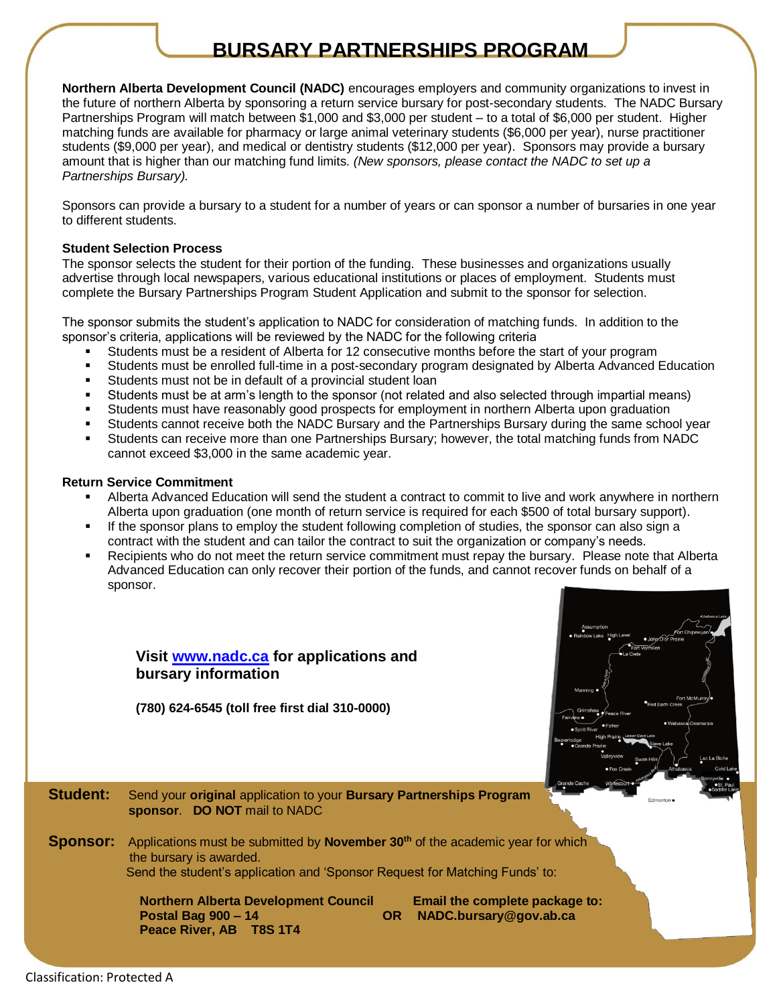# **BURSARY PARTNERSHIPS PROGRAM**

**Northern Alberta Development Council (NADC)** encourages employers and community organizations to invest in the future of northern Alberta by sponsoring a return service bursary for post-secondary students. The NADC Bursary Partnerships Program will match between \$1,000 and \$3,000 per student – to a total of \$6,000 per student. Higher matching funds are available for pharmacy or large animal veterinary students (\$6,000 per year), nurse practitioner students (\$9,000 per year), and medical or dentistry students (\$12,000 per year). Sponsors may provide a bursary amount that is higher than our matching fund limits. *(New sponsors, please contact the NADC to set up a Partnerships Bursary).*

Sponsors can provide a bursary to a student for a number of years or can sponsor a number of bursaries in one year to different students.

#### **Student Selection Process**

The sponsor selects the student for their portion of the funding. These businesses and organizations usually advertise through local newspapers, various educational institutions or places of employment. Students must complete the Bursary Partnerships Program Student Application and submit to the sponsor for selection.

The sponsor submits the student's application to NADC for consideration of matching funds. In addition to the sponsor's criteria, applications will be reviewed by the NADC for the following criteria

- Students must be a resident of Alberta for 12 consecutive months before the start of your program
- Students must be enrolled full-time in a post-secondary program designated by Alberta Advanced Education
- Students must not be in default of a provincial student loan
- Students must be at arm's length to the sponsor (not related and also selected through impartial means)
- Students must have reasonably good prospects for employment in northern Alberta upon graduation
- Students cannot receive both the NADC Bursary and the Partnerships Bursary during the same school year
- Students can receive more than one Partnerships Bursary; however, the total matching funds from NADC cannot exceed \$3,000 in the same academic year.

#### **Return Service Commitment**

- Alberta Advanced Education will send the student a contract to commit to live and work anywhere in northern Alberta upon graduation (one month of return service is required for each \$500 of total bursary support).
- If the sponsor plans to employ the student following completion of studies, the sponsor can also sign a contract with the student and can tailor the contract to suit the organization or company's needs.
- Recipients who do not meet the return service commitment must repay the bursary. Please note that Alberta Advanced Education can only recover their portion of the funds, and cannot recover funds on behalf of a sponsor.



**(780) 624-6545 (toll free first dial 310-0000)**



January 2022

**Student:** Send your **original** application to your **Bursary Partnerships Program sponsor**. **DO NOT** mail to NADC

**Sponsor:** Applications must be submitted by **November 30th** of the academic year for which the bursary is awarded. Send the student's application and 'Sponsor Request for Matching Funds' to:

> **Northern Alberta Development Council Email the complete package to: Postal Bag 900 – 14 OR NADC.bursary@gov.ab.ca Peace River, AB T8S 1T4**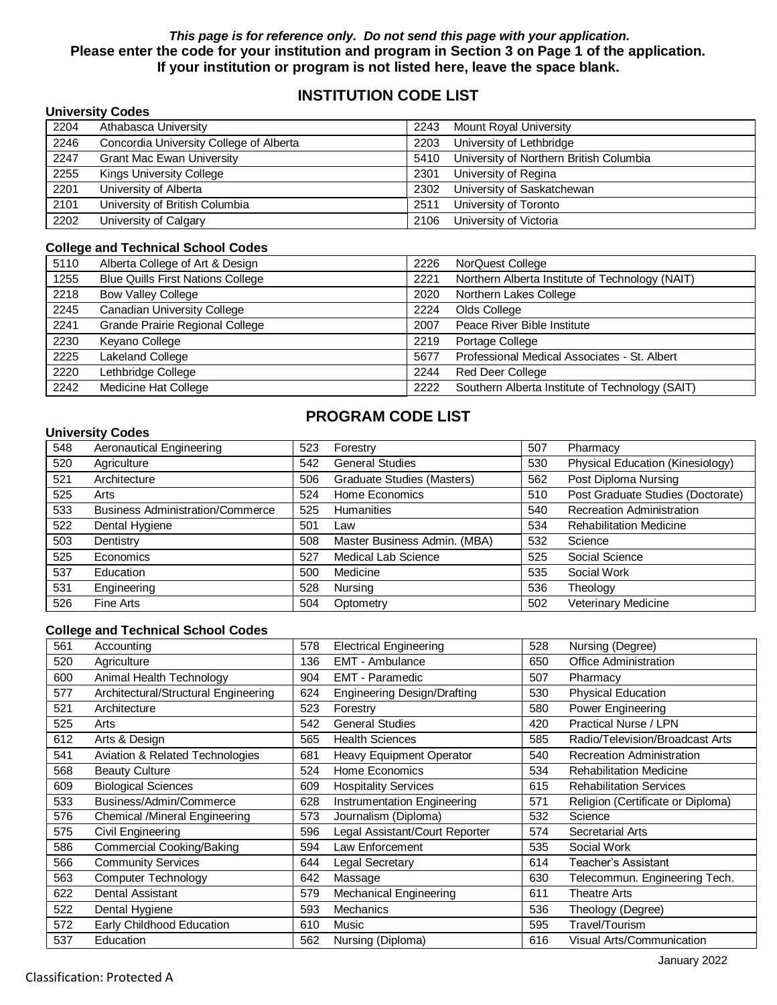#### *This page is for reference only. Do not send this page with your application.* **Please enter the code for your institution and program in Section 3 on Page 1 of the application. If your institution or program is not listed here, leave the space blank.**

## **INSTITUTION CODE LIST**

|      | <b>University Codes</b>                 |      |                                         |
|------|-----------------------------------------|------|-----------------------------------------|
| 2204 | Athabasca University                    | 2243 | <b>Mount Royal University</b>           |
| 2246 | Concordia University College of Alberta | 2203 | University of Lethbridge                |
| 2247 | <b>Grant Mac Ewan University</b>        | 5410 | University of Northern British Columbia |
| 2255 | Kings University College                | 2301 | University of Regina                    |
| 2201 | University of Alberta                   | 2302 | University of Saskatchewan              |
| 2101 | University of British Columbia          | 2511 | University of Toronto                   |
| 2202 | University of Calgary                   | 2106 | University of Victoria                  |

#### **College and Technical School Codes**

| 5110 | Alberta College of Art & Design          | 2226 | NorQuest College                                |
|------|------------------------------------------|------|-------------------------------------------------|
| 1255 | <b>Blue Quills First Nations College</b> | 2221 | Northern Alberta Institute of Technology (NAIT) |
| 2218 | <b>Bow Valley College</b>                | 2020 | Northern Lakes College                          |
| 2245 | <b>Canadian University College</b>       | 2224 | Olds College                                    |
| 2241 | Grande Prairie Regional College          | 2007 | Peace River Bible Institute                     |
| 2230 | Keyano College                           | 2219 | Portage College                                 |
| 2225 | Lakeland College                         | 5677 | Professional Medical Associates - St. Albert    |
| 2220 | Lethbridge College                       | 2244 | <b>Red Deer College</b>                         |
| 2242 | Medicine Hat College                     | 2222 | Southern Alberta Institute of Technology (SAIT) |

#### **University Codes**

## **PROGRAM CODE LIST**

| 548 | <b>Aeronautical Engineering</b>         | 523 | Forestry                     | 507 | Pharmacy                          |
|-----|-----------------------------------------|-----|------------------------------|-----|-----------------------------------|
| 520 | Agriculture                             | 542 | <b>General Studies</b>       | 530 | Physical Education (Kinesiology)  |
| 521 | Architecture                            | 506 | Graduate Studies (Masters)   | 562 | Post Diploma Nursing              |
| 525 | Arts                                    | 524 | Home Economics               | 510 | Post Graduate Studies (Doctorate) |
| 533 | <b>Business Administration/Commerce</b> | 525 | <b>Humanities</b>            | 540 | <b>Recreation Administration</b>  |
| 522 | Dental Hygiene                          | 501 | Law                          | 534 | <b>Rehabilitation Medicine</b>    |
| 503 | Dentistry                               | 508 | Master Business Admin. (MBA) | 532 | Science                           |
| 525 | Economics                               | 527 | <b>Medical Lab Science</b>   | 525 | Social Science                    |
| 537 | Education                               | 500 | Medicine                     | 535 | Social Work                       |
| 531 | Engineering                             | 528 | Nursing                      | 536 | Theology                          |
| 526 | Fine Arts                               | 504 | Optometry                    | 502 | Veterinary Medicine               |

#### **College and Technical School Codes**

| 561 | Accounting                           | 578 | <b>Electrical Engineering</b>   | 528 | Nursing (Degree)                  |
|-----|--------------------------------------|-----|---------------------------------|-----|-----------------------------------|
| 520 | Agriculture                          | 136 | EMT - Ambulance                 | 650 | Office Administration             |
| 600 | Animal Health Technology             | 904 | <b>EMT - Paramedic</b>          | 507 | Pharmacy                          |
| 577 | Architectural/Structural Engineering | 624 | Engineering Design/Drafting     | 530 | <b>Physical Education</b>         |
| 521 | Architecture                         | 523 | Forestry                        | 580 | Power Engineering                 |
| 525 | Arts                                 | 542 | <b>General Studies</b>          | 420 | <b>Practical Nurse / LPN</b>      |
| 612 | Arts & Design                        | 565 | <b>Health Sciences</b>          | 585 | Radio/Television/Broadcast Arts   |
| 541 | Aviation & Related Technologies      | 681 | <b>Heavy Equipment Operator</b> | 540 | <b>Recreation Administration</b>  |
| 568 | <b>Beauty Culture</b>                | 524 | Home Economics                  | 534 | <b>Rehabilitation Medicine</b>    |
| 609 | <b>Biological Sciences</b>           | 609 | <b>Hospitality Services</b>     | 615 | <b>Rehabilitation Services</b>    |
| 533 | Business/Admin/Commerce              | 628 | Instrumentation Engineering     | 571 | Religion (Certificate or Diploma) |
| 576 | Chemical /Mineral Engineering        | 573 | Journalism (Diploma)            | 532 | Science                           |
| 575 | Civil Engineering                    | 596 | Legal Assistant/Court Reporter  | 574 | Secretarial Arts                  |
| 586 | Commercial Cooking/Baking            | 594 | Law Enforcement                 | 535 | Social Work                       |
| 566 | <b>Community Services</b>            | 644 | Legal Secretary                 | 614 | Teacher's Assistant               |
| 563 | Computer Technology                  | 642 | Massage                         | 630 | Telecommun. Engineering Tech.     |
| 622 | Dental Assistant                     | 579 | <b>Mechanical Engineering</b>   | 611 | <b>Theatre Arts</b>               |
| 522 | Dental Hygiene                       | 593 | <b>Mechanics</b>                | 536 | Theology (Degree)                 |
| 572 | Early Childhood Education            | 610 | Music                           | 595 | Travel/Tourism                    |
| 537 | Education                            | 562 | Nursing (Diploma)               | 616 | <b>Visual Arts/Communication</b>  |
|     |                                      |     |                                 |     |                                   |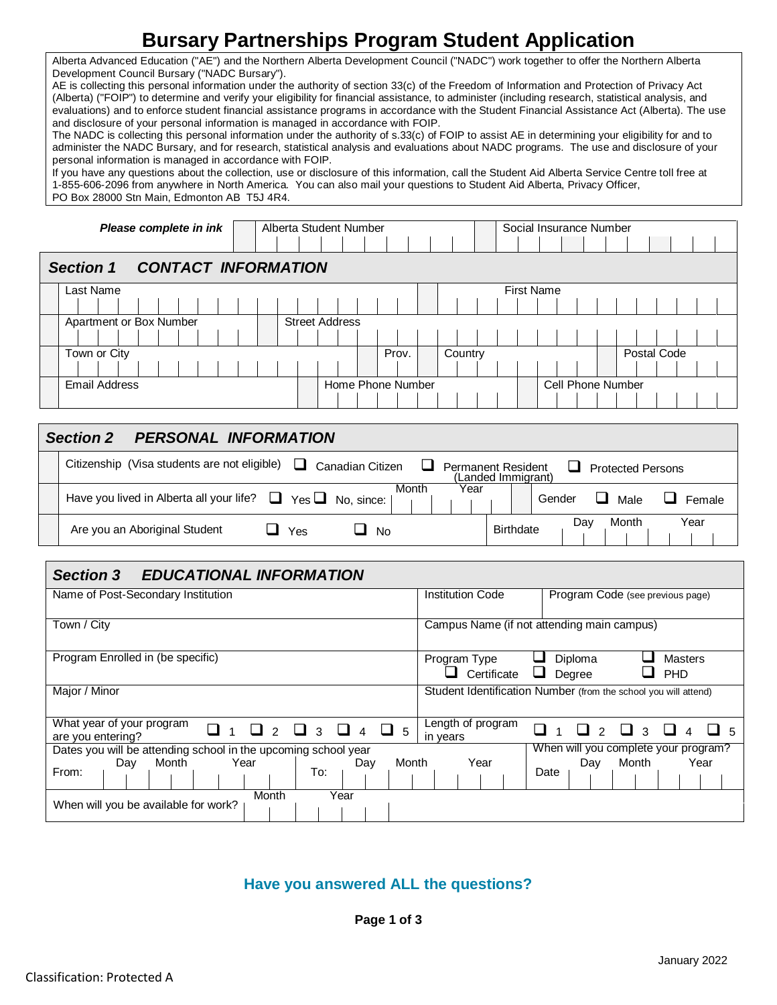# **Bursary Partnerships Program Student Application**

Alberta Advanced Education ("AE") and the Northern Alberta Development Council ("NADC") work together to offer the Northern Alberta Development Council Bursary ("NADC Bursary").

AE is collecting this personal information under the authority of section 33(c) of the Freedom of Information and Protection of Privacy Act (Alberta) ("FOIP") to determine and verify your eligibility for financial assistance, to administer (including research, statistical analysis, and evaluations) and to enforce student financial assistance programs in accordance with the Student Financial Assistance Act (Alberta). The use and disclosure of your personal information is managed in accordance with FOIP.

The NADC is collecting this personal information under the authority of s.33(c) of FOIP to assist AE in determining your eligibility for and to administer the NADC Bursary, and for research, statistical analysis and evaluations about NADC programs. The use and disclosure of your personal information is managed in accordance with FOIP.

If you have any questions about the collection, use or disclosure of this information, call the Student Aid Alberta Service Centre toll free at 1-855-606-2096 from anywhere in North America. You can also mail your questions to Student Aid Alberta, Privacy Officer, PO Box 28000 Stn Main, Edmonton AB T5J 4R4.

| Please complete in ink                         | Alberta Student Number |         | Social Insurance Number |             |
|------------------------------------------------|------------------------|---------|-------------------------|-------------|
| <b>Section 1</b><br><b>CONTACT INFORMATION</b> |                        |         |                         |             |
| Last Name                                      |                        |         | <b>First Name</b>       |             |
|                                                |                        |         |                         |             |
| Apartment or Box Number                        | <b>Street Address</b>  |         |                         |             |
|                                                |                        |         |                         |             |
| Town or City                                   | Prov.                  | Country |                         | Postal Code |
|                                                |                        |         |                         |             |
| <b>Email Address</b>                           | Home Phone Number      |         | Cell Phone Number       |             |
|                                                |                        |         |                         |             |

| <b>PERSONAL INFORMATION</b><br><b>Section 2</b>                                        |                                                                             |
|----------------------------------------------------------------------------------------|-----------------------------------------------------------------------------|
| Citizenship (Visa students are not eligible)<br>ப<br>Canadian Citizen                  | <b>Permanent Resident</b><br><b>Protected Persons</b><br>(Landed Immigrant) |
| Month<br>Year<br>Have you lived in Alberta all your life? $\Box$ Yes $\Box$ No, since: | Gender<br>Female<br>Male                                                    |
| Are you an Aboriginal Student<br><b>No</b><br>Yes                                      | Month<br>Year<br>Dav<br><b>Birthdate</b>                                    |

| <b>Section 3</b><br><b>EDUCATIONAL INFORMATION</b>                                |                                                                                       |  |  |  |  |  |
|-----------------------------------------------------------------------------------|---------------------------------------------------------------------------------------|--|--|--|--|--|
| Name of Post-Secondary Institution                                                | <b>Institution Code</b><br>Program Code (see previous page)                           |  |  |  |  |  |
| Town / City                                                                       | Campus Name (if not attending main campus)                                            |  |  |  |  |  |
| Program Enrolled in (be specific)                                                 | Diploma<br>Program Type<br><b>Masters</b><br>Certificate<br>ப<br>Degree<br><b>PHD</b> |  |  |  |  |  |
| Major / Minor                                                                     | Student Identification Number (from the school you will attend)                       |  |  |  |  |  |
| What year of your program<br>$\Box$ 5<br>3<br>$\overline{4}$<br>are you entering? | Length of program<br>3<br>in years                                                    |  |  |  |  |  |
| Dates you will be attending school in the upcoming school year                    | When will you complete your program?                                                  |  |  |  |  |  |
| Month<br>Month<br>Year<br>Day<br>Day<br>From:<br>To:                              | Year<br>Month<br>Year<br>Day<br>Date                                                  |  |  |  |  |  |
| Year<br>Month<br>When will you be available for work?                             |                                                                                       |  |  |  |  |  |

### **Have you answered ALL the questions?**

**Page 1 of 3**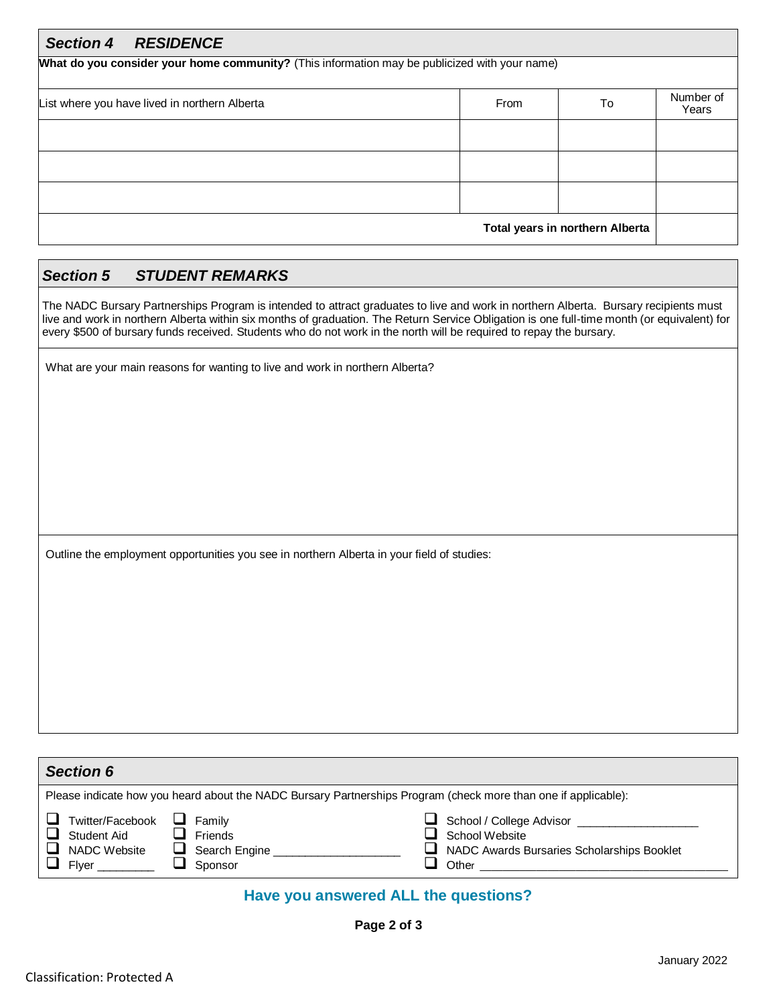| <b>Section 4</b><br><b>RESIDENCE</b>                                                          |      |                                 |                    |  |  |  |
|-----------------------------------------------------------------------------------------------|------|---------------------------------|--------------------|--|--|--|
| What do you consider your home community? (This information may be publicized with your name) |      |                                 |                    |  |  |  |
| List where you have lived in northern Alberta                                                 | From | To                              | Number of<br>Years |  |  |  |
|                                                                                               |      |                                 |                    |  |  |  |
|                                                                                               |      |                                 |                    |  |  |  |
|                                                                                               |      |                                 |                    |  |  |  |
|                                                                                               |      | Total years in northern Alberta |                    |  |  |  |

### *Section 5 STUDENT REMARKS*

The NADC Bursary Partnerships Program is intended to attract graduates to live and work in northern Alberta. Bursary recipients must live and work in northern Alberta within six months of graduation. The Return Service Obligation is one full-time month (or equivalent) for every \$500 of bursary funds received. Students who do not work in the north will be required to repay the bursary.

What are your main reasons for wanting to live and work in northern Alberta?

Outline the employment opportunities you see in northern Alberta in your field of studies:

| <b>Section 6</b>                                         |                                                                                                                |                                                                                                              |  |  |  |  |  |
|----------------------------------------------------------|----------------------------------------------------------------------------------------------------------------|--------------------------------------------------------------------------------------------------------------|--|--|--|--|--|
|                                                          | Please indicate how you heard about the NADC Bursary Partnerships Program (check more than one if applicable): |                                                                                                              |  |  |  |  |  |
| Twitter/Facebook<br>Student Aid<br>NADC Website<br>Flver | Family<br>⊔<br>Friends<br>$\Box$<br>$\Box$ Search Engine<br>Sponsor                                            | School / College Advisor __________<br>School Website<br>NADC Awards Bursaries Scholarships Booklet<br>Other |  |  |  |  |  |

# **Have you answered ALL the questions?**